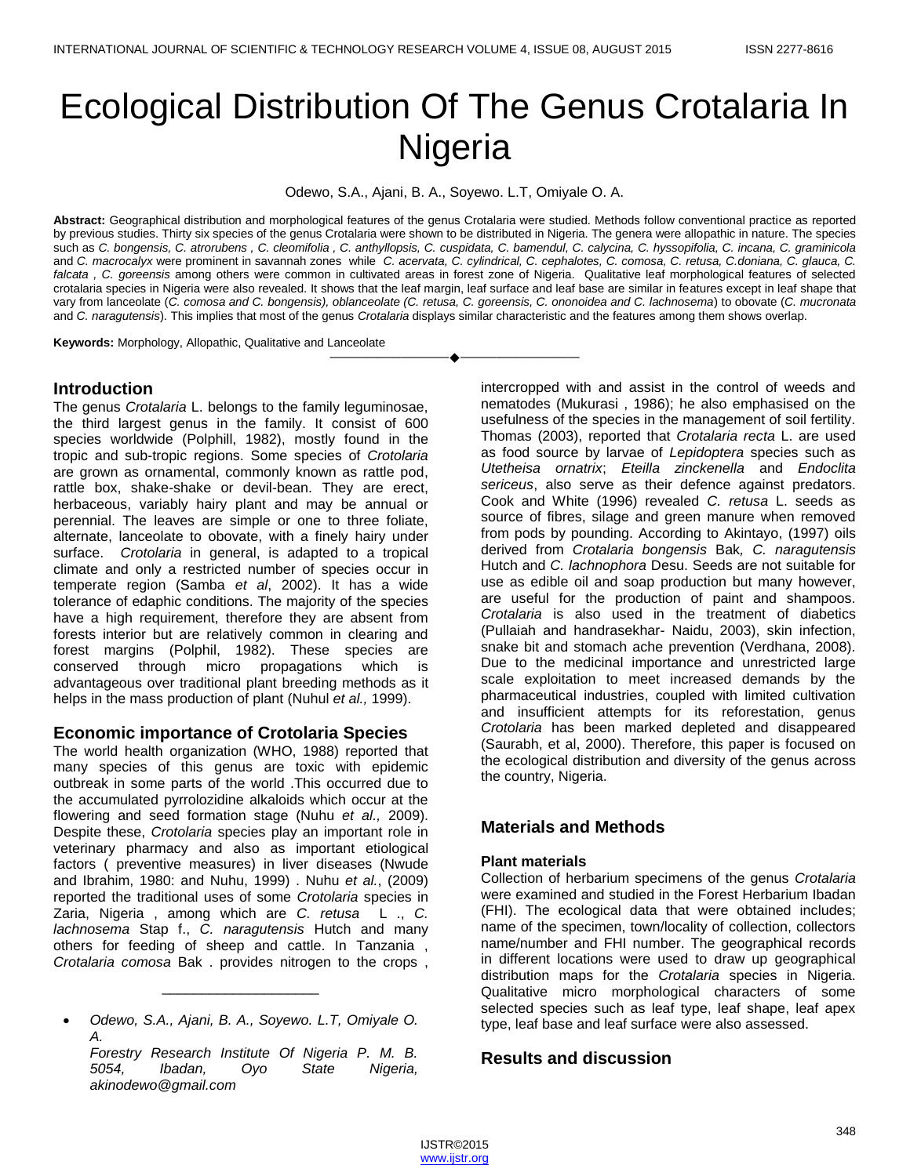# Ecological Distribution Of The Genus Crotalaria In **Nigeria**

Odewo, S.A., Ajani, B. A., Soyewo. L.T, Omiyale O. A.

**Abstract:** Geographical distribution and morphological features of the genus Crotalaria were studied. Methods follow conventional practice as reported by previous studies. Thirty six species of the genus Crotalaria were shown to be distributed in Nigeria. The genera were allopathic in nature. The species such as *C. bongensis, C. atrorubens , C. cleomifolia , C. anthyllopsis, C. cuspidata, C. bamendul, C. calycina, C. hyssopifolia, C. incana, C. graminicola* and *C. macrocalyx* were prominent in savannah zones while *C. acervata, C. cylindrical, C. cephalotes, C. comosa, C. retusa, C.doniana, C. glauca, C. falcata , C. goreensis* among others were common in cultivated areas in forest zone of Nigeria. Qualitative leaf morphological features of selected crotalaria species in Nigeria were also revealed. It shows that the leaf margin, leaf surface and leaf base are similar in features except in leaf shape that vary from lanceolate (*C. comosa and C. bongensis), oblanceolate (C. retusa, C. goreensis, C. ononoidea and C. lachnosema*) to obovate (*C. mucronata* and *C. naragutensis*). This implies that most of the genus *Crotalaria* displays similar characteristic and the features among them shows overlap.

————————————————————

**Keywords:** Morphology, Allopathic, Qualitative and Lanceolate

### **Introduction**

The genus *Crotalaria* L. belongs to the family leguminosae, the third largest genus in the family. It consist of 600 species worldwide (Polphill, 1982), mostly found in the tropic and sub-tropic regions. Some species of *Crotolaria* are grown as ornamental, commonly known as rattle pod, rattle box, shake-shake or devil-bean. They are erect, herbaceous, variably hairy plant and may be annual or perennial. The leaves are simple or one to three foliate, alternate, lanceolate to obovate, with a finely hairy under surface. *Crotolaria* in general, is adapted to a tropical climate and only a restricted number of species occur in temperate region (Samba *et al*, 2002). It has a wide tolerance of edaphic conditions. The majority of the species have a high requirement, therefore they are absent from forests interior but are relatively common in clearing and forest margins (Polphil, 1982). These species are conserved through micro propagations which is advantageous over traditional plant breeding methods as it helps in the mass production of plant (Nuhul *et al.,* 1999).

### **Economic importance of Crotolaria Species**

The world health organization (WHO, 1988) reported that many species of this genus are toxic with epidemic outbreak in some parts of the world .This occurred due to the accumulated pyrrolozidine alkaloids which occur at the flowering and seed formation stage (Nuhu *et al.,* 2009). Despite these, *Crotolaria* species play an important role in veterinary pharmacy and also as important etiological factors ( preventive measures) in liver diseases (Nwude and Ibrahim, 1980: and Nuhu, 1999) . Nuhu *et al.*, (2009) reported the traditional uses of some *Crotolaria* species in Zaria, Nigeria , among which are *C. retusa* L ., *C. lachnosema* Stap f., *C. naragutensis* Hutch and many others for feeding of sheep and cattle. In Tanzania , *Crotalaria comosa* Bak . provides nitrogen to the crops ,

 *Odewo, S.A., Ajani, B. A., Soyewo. L.T, Omiyale O. A.*

\_\_\_\_\_\_\_\_\_\_\_\_\_\_\_\_\_\_\_\_

*Forestry Research Institute Of Nigeria P. M. B. 5054, Ibadan, Oyo State Nigeria, akinodewo@gmail.com*

intercropped with and assist in the control of weeds and nematodes (Mukurasi , 1986); he also emphasised on the usefulness of the species in the management of soil fertility. Thomas (2003), reported that *Crotalaria recta* L. are used as food source by larvae of *Lepidoptera* species such as *Utetheisa ornatrix*; *Eteilla zinckenella* and *Endoclita sericeus*, also serve as their defence against predators. Cook and White (1996) revealed *C. retusa* L. seeds as source of fibres, silage and green manure when removed from pods by pounding. According to Akintayo, (1997) oils derived from *Crotalaria bongensis* Bak*, C. naragutensis* Hutch and *C. lachnophora* Desu. Seeds are not suitable for use as edible oil and soap production but many however, are useful for the production of paint and shampoos. *Crotalaria* is also used in the treatment of diabetics (Pullaiah and handrasekhar- Naidu, 2003), skin infection, snake bit and stomach ache prevention (Verdhana, 2008). Due to the medicinal importance and unrestricted large scale exploitation to meet increased demands by the pharmaceutical industries, coupled with limited cultivation and insufficient attempts for its reforestation, genus *Crotolaria* has been marked depleted and disappeared (Saurabh, et al, 2000). Therefore, this paper is focused on the ecological distribution and diversity of the genus across the country, Nigeria.

## **Materials and Methods**

### **Plant materials**

Collection of herbarium specimens of the genus *Crotalaria*  were examined and studied in the Forest Herbarium Ibadan (FHI). The ecological data that were obtained includes; name of the specimen, town/locality of collection, collectors name/number and FHI number. The geographical records in different locations were used to draw up geographical distribution maps for the *Crotalaria* species in Nigeria. Qualitative micro morphological characters of some selected species such as leaf type, leaf shape, leaf apex type, leaf base and leaf surface were also assessed.

## **Results and discussion**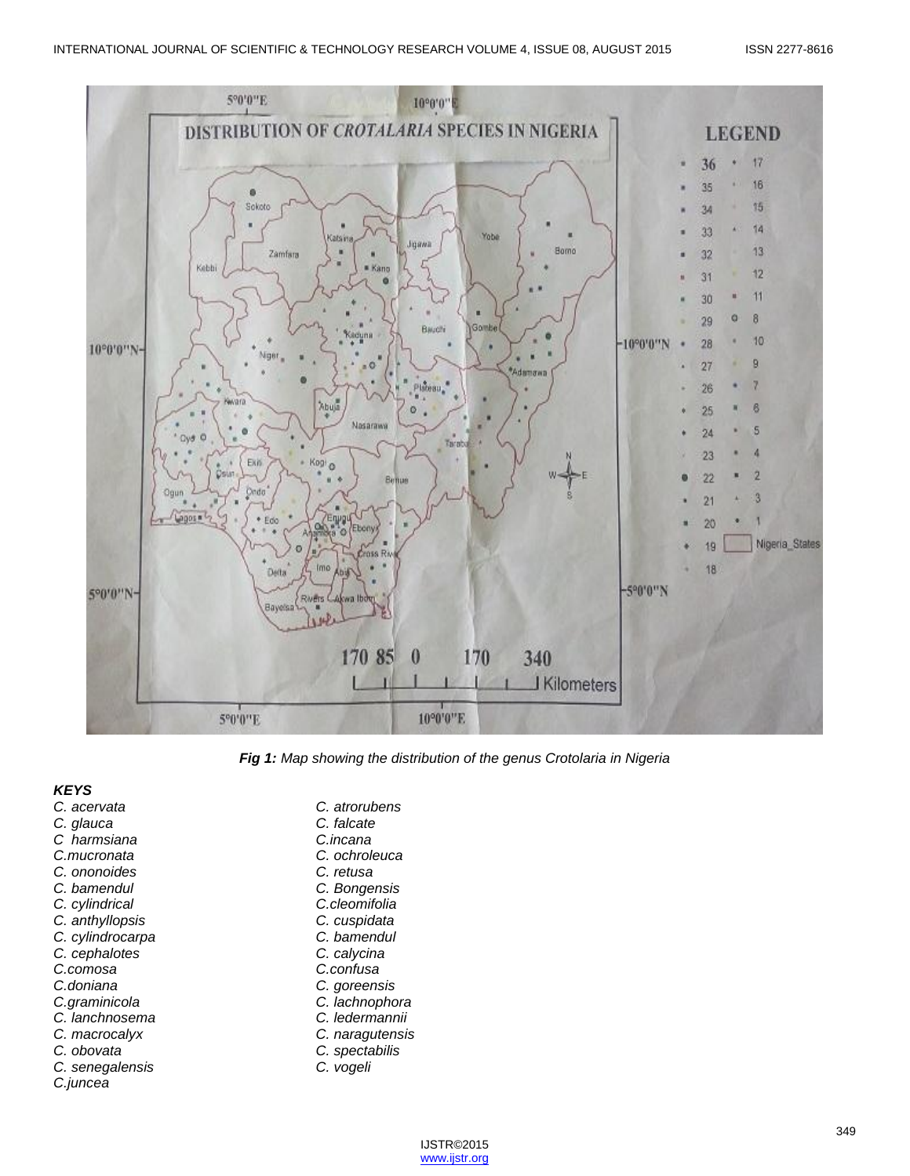

*Fig 1: Map showing the distribution of the genus Crotolaria in Nigeria*

#### *KEYS*

*C. acervata C. atrorubens C. glauca C. falcate C harmsiana C.incana C.mucronata C. ochroleuca*  $C.$  *ononoides C. bamendul C. Bongensis C. cylindrical C.cleomifolia C. anthyllopsis C. cuspidata C. cylindrocarpa C. bamendul C. cephalotes C. calycina C.comosa C.confusa C.doniana C. goreensis C.graminicola C. lachnophora C. lanchnosema C. ledermannii C. macrocalyx C. naragutensis C. obovata C. spectabilis C. senegalensis C. vogeli C.juncea*

| C. atrorubens   |
|-----------------|
| C. falcate      |
| C.incana        |
| C. ochroleuca   |
| C. retusa       |
| C. Bongensis    |
| C.cleomifolia   |
| C. cuspidata    |
| C. bamendul     |
| C. calycina     |
| C.confusa       |
| C. goreensis    |
| C. lachnophora  |
| C. ledermannii  |
| C. naragutensi: |
| C. spectabilis  |
| C. vogeli       |
|                 |

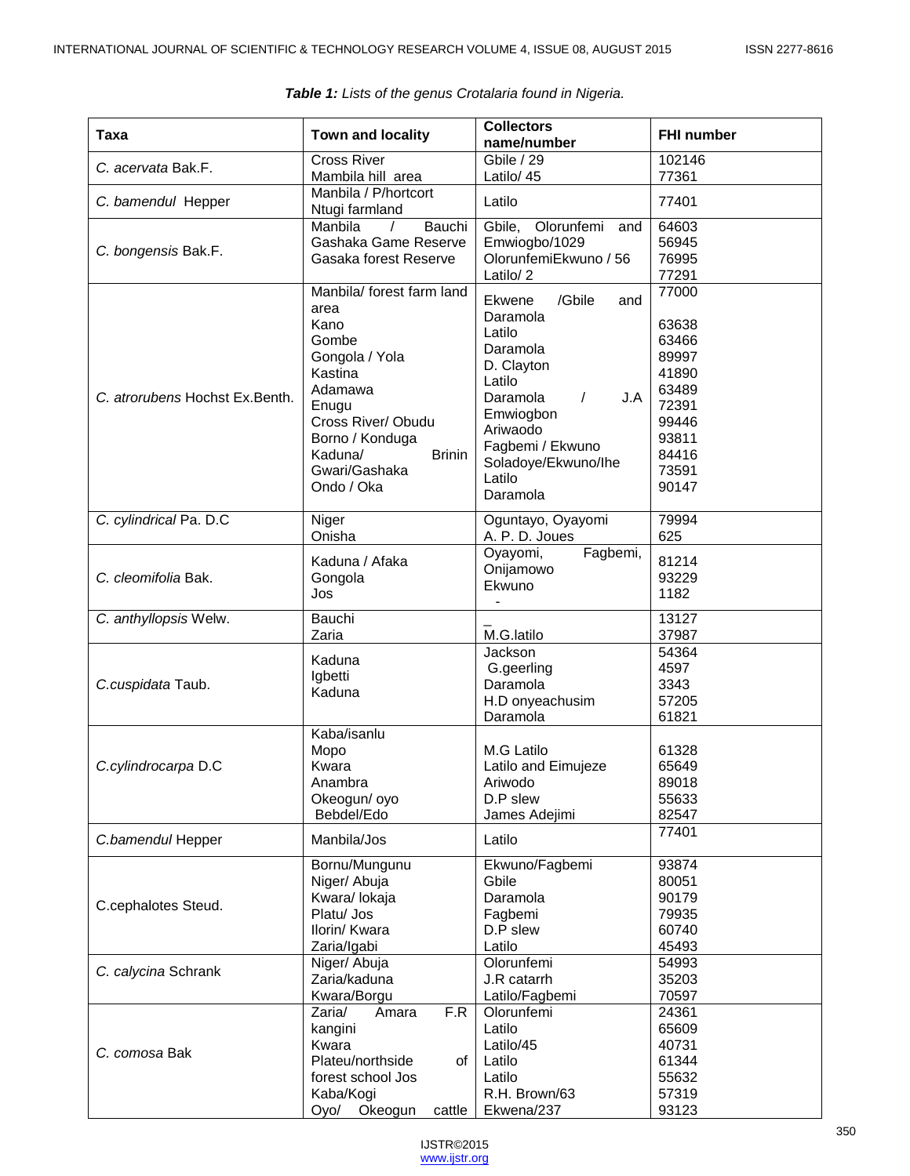| Taxa                            | <b>Town and locality</b>                                                                                                                                                                                | <b>Collectors</b><br>name/number                                                                                                                                                                             | <b>FHI number</b>                                                                                        |
|---------------------------------|---------------------------------------------------------------------------------------------------------------------------------------------------------------------------------------------------------|--------------------------------------------------------------------------------------------------------------------------------------------------------------------------------------------------------------|----------------------------------------------------------------------------------------------------------|
| C. acervata Bak.F.              | <b>Cross River</b><br>Mambila hill area                                                                                                                                                                 | Gbile / 29<br>Latilo/ 45                                                                                                                                                                                     | 102146<br>77361                                                                                          |
| C. bamendul Hepper              | Manbila / P/hortcort<br>Ntugi farmland                                                                                                                                                                  | Latilo                                                                                                                                                                                                       | 77401                                                                                                    |
| C. bongensis Bak.F.             | Bauchi<br>Manbila<br>Gashaka Game Reserve<br>Gasaka forest Reserve                                                                                                                                      | Gbile, Olorunfemi<br>and<br>Emwiogbo/1029<br>OlorunfemiEkwuno / 56<br>Latilo/2                                                                                                                               | 64603<br>56945<br>76995<br>77291                                                                         |
| C. atrorubens Hochst Ex. Benth. | Manbila/ forest farm land<br>area<br>Kano<br>Gombe<br>Gongola / Yola<br>Kastina<br>Adamawa<br>Enugu<br>Cross River/ Obudu<br>Borno / Konduga<br>Kaduna/<br><b>Brinin</b><br>Gwari/Gashaka<br>Ondo / Oka | /Gbile<br>Ekwene<br>and<br>Daramola<br>Latilo<br>Daramola<br>D. Clayton<br>Latilo<br>Daramola<br>J.A<br>$\sqrt{2}$<br>Emwiogbon<br>Ariwaodo<br>Fagbemi / Ekwuno<br>Soladoye/Ekwuno/Ihe<br>Latilo<br>Daramola | 77000<br>63638<br>63466<br>89997<br>41890<br>63489<br>72391<br>99446<br>93811<br>84416<br>73591<br>90147 |
| C. cylindrical Pa. D.C          | Niger<br>Onisha                                                                                                                                                                                         | Oguntayo, Oyayomi<br>A. P. D. Joues                                                                                                                                                                          | 79994<br>625                                                                                             |
| C. cleomifolia Bak.             | Kaduna / Afaka<br>Gongola<br>Jos                                                                                                                                                                        | Oyayomi,<br>Fagbemi,<br>Onijamowo<br>Ekwuno                                                                                                                                                                  | 81214<br>93229<br>1182                                                                                   |
| C. anthyllopsis Welw.           | Bauchi<br>Zaria                                                                                                                                                                                         | M.G.latilo                                                                                                                                                                                                   | 13127<br>37987                                                                                           |
| C.cuspidata Taub.               | Kaduna<br>Igbetti<br>Kaduna                                                                                                                                                                             | Jackson<br>G.geerling<br>Daramola<br>H.D onyeachusim<br>Daramola                                                                                                                                             | 54364<br>4597<br>3343<br>57205<br>61821                                                                  |
| C.cylindrocarpa D.C             | Kaba/isanlu<br>Mopo<br>Kwara<br>Anambra<br>Okeogun/ oyo<br>Bebdel/Edo                                                                                                                                   | M.G Latilo<br>Latilo and Eimujeze<br>Ariwodo<br>D.P slew<br>James Adejimi                                                                                                                                    | 61328<br>65649<br>89018<br>55633<br>82547                                                                |
| C.bamendul Hepper               | Manbila/Jos                                                                                                                                                                                             | Latilo                                                                                                                                                                                                       | 77401                                                                                                    |
| C.cephalotes Steud.             | Bornu/Mungunu<br>Niger/ Abuja<br>Kwara/ lokaja<br>Platu/ Jos<br>Ilorin/ Kwara<br>Zaria/Igabi                                                                                                            | Ekwuno/Fagbemi<br>Gbile<br>Daramola<br>Fagbemi<br>D.P slew<br>Latilo                                                                                                                                         | 93874<br>80051<br>90179<br>79935<br>60740<br>45493                                                       |
| C. calycina Schrank             | Niger/ Abuja<br>Zaria/kaduna<br>Kwara/Borgu                                                                                                                                                             | Olorunfemi<br>J.R catarrh<br>Latilo/Fagbemi                                                                                                                                                                  | 54993<br>35203<br>70597                                                                                  |
| C. comosa Bak                   | Zaria/<br>Amara<br>F.R<br>kangini<br>Kwara<br>Plateu/northside<br>of<br>forest school Jos<br>Kaba/Kogi<br>Oyo/ Okeogun<br>cattle                                                                        | Olorunfemi<br>Latilo<br>Latilo/45<br>Latilo<br>Latilo<br>R.H. Brown/63<br>Ekwena/237                                                                                                                         | 24361<br>65609<br>40731<br>61344<br>55632<br>57319<br>93123                                              |

| Table 1: Lists of the genus Crotalaria found in Nigeria. |  |  |  |
|----------------------------------------------------------|--|--|--|
|----------------------------------------------------------|--|--|--|

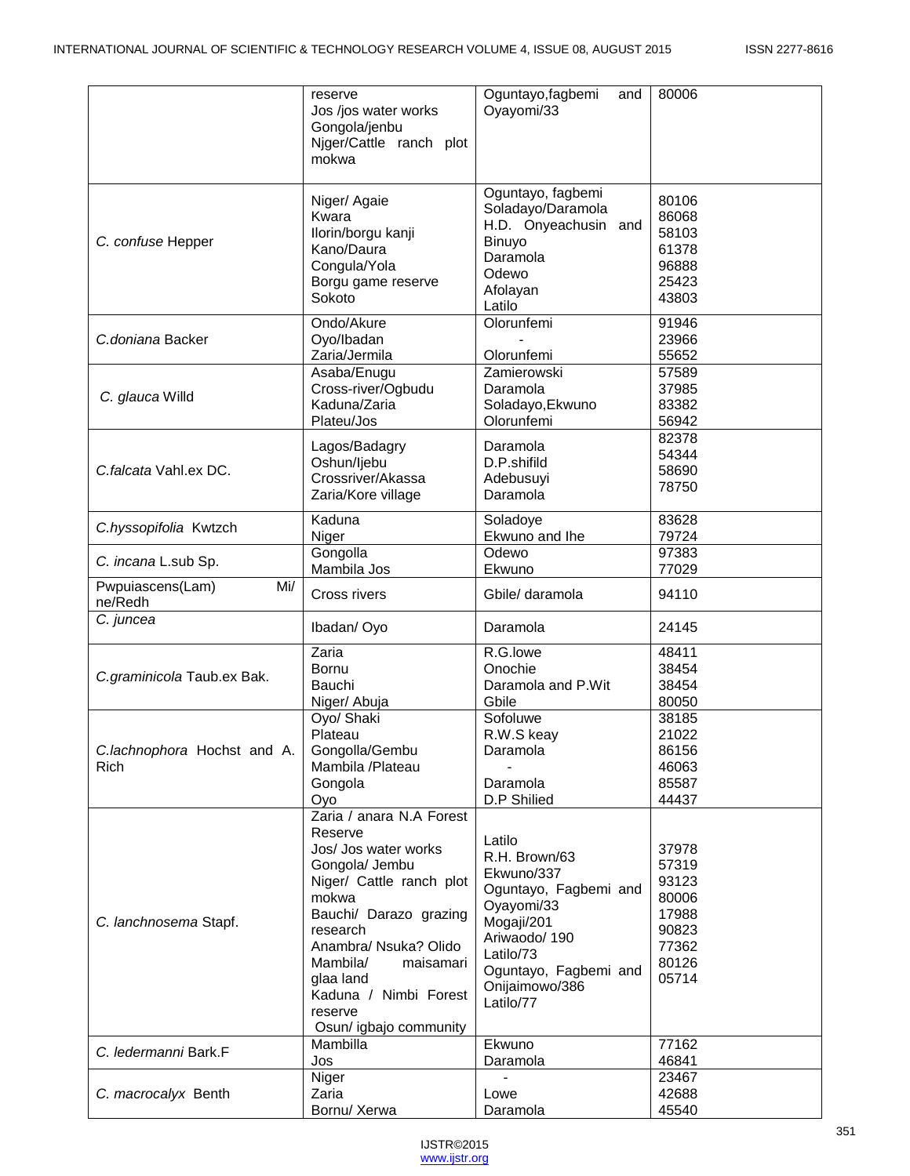|                                     | reserve<br>Jos /jos water works<br>Gongola/jenbu<br>Niger/Cattle ranch plot<br>mokwa                                                                                                                                                                                                  | Oguntayo, fagbemi<br>and<br>Oyayomi/33                                                                                                                                          | 80006                                                                         |
|-------------------------------------|---------------------------------------------------------------------------------------------------------------------------------------------------------------------------------------------------------------------------------------------------------------------------------------|---------------------------------------------------------------------------------------------------------------------------------------------------------------------------------|-------------------------------------------------------------------------------|
| C. confuse Hepper                   | Niger/ Agaie<br>Kwara<br>Ilorin/borgu kanji<br>Kano/Daura<br>Congula/Yola<br>Borgu game reserve<br>Sokoto                                                                                                                                                                             | Oguntayo, fagbemi<br>Soladayo/Daramola<br>H.D. Onyeachusin and<br>Binuyo<br>Daramola<br>Odewo<br>Afolayan<br>Latilo                                                             | 80106<br>86068<br>58103<br>61378<br>96888<br>25423<br>43803                   |
| C.doniana Backer                    | Ondo/Akure<br>Oyo/Ibadan<br>Zaria/Jermila                                                                                                                                                                                                                                             | Olorunfemi<br>Olorunfemi                                                                                                                                                        | 91946<br>23966<br>55652                                                       |
| C. glauca Willd                     | Asaba/Enugu<br>Cross-river/Ogbudu<br>Kaduna/Zaria<br>Plateu/Jos                                                                                                                                                                                                                       | Zamierowski<br>Daramola<br>Soladayo, Ekwuno<br>Olorunfemi                                                                                                                       | 57589<br>37985<br>83382<br>56942                                              |
| C.falcata Vahl.ex DC.               | Lagos/Badagry<br>Oshun/ljebu<br>Crossriver/Akassa<br>Zaria/Kore village                                                                                                                                                                                                               | Daramola<br>D.P.shifild<br>Adebusuyi<br>Daramola                                                                                                                                | 82378<br>54344<br>58690<br>78750                                              |
| C.hyssopifolia Kwtzch               | Kaduna<br>Niger                                                                                                                                                                                                                                                                       | Soladoye<br>Ekwuno and Ihe                                                                                                                                                      | 83628<br>79724                                                                |
| C. incana L.sub Sp.                 | Gongolla<br>Mambila Jos                                                                                                                                                                                                                                                               | Odewo<br>Ekwuno                                                                                                                                                                 | 97383<br>77029                                                                |
| Pwpuiascens(Lam)<br>Mi/<br>ne/Redh  | Cross rivers                                                                                                                                                                                                                                                                          | Gbile/ daramola                                                                                                                                                                 | 94110                                                                         |
| C. juncea                           | Ibadan/Oyo                                                                                                                                                                                                                                                                            | Daramola                                                                                                                                                                        | 24145                                                                         |
| C.graminicola Taub.ex Bak.          | Zaria<br>Bornu<br>Bauchi<br>Niger/ Abuja                                                                                                                                                                                                                                              | R.G.lowe<br>Onochie<br>Daramola and P.Wit<br>Gbile                                                                                                                              | 48411<br>38454<br>38454<br>80050                                              |
| C.lachnophora Hochst and A.<br>Rich | Oyo/ Shaki<br>Plateau<br>Gongolla/Gembu<br>Mambila /Plateau<br>Gongola<br>Oyo                                                                                                                                                                                                         | Sofoluwe<br>R.W.S keay<br>Daramola<br>Daramola<br>D.P Shilied                                                                                                                   | 38185<br>21022<br>86156<br>46063<br>85587<br>44437                            |
| C. lanchnosema Stapf.               | Zaria / anara N.A Forest<br>Reserve<br>Jos/ Jos water works<br>Gongola/ Jembu<br>Niger/ Cattle ranch plot<br>mokwa<br>Bauchi/ Darazo grazing<br>research<br>Anambra/ Nsuka? Olido<br>Mambila/<br>maisamari<br>glaa land<br>Kaduna / Nimbi Forest<br>reserve<br>Osun/ igbajo community | Latilo<br>R.H. Brown/63<br>Ekwuno/337<br>Oguntayo, Fagbemi and<br>Oyayomi/33<br>Mogaji/201<br>Ariwaodo/190<br>Latilo/73<br>Oguntayo, Fagbemi and<br>Onijaimowo/386<br>Latilo/77 | 37978<br>57319<br>93123<br>80006<br>17988<br>90823<br>77362<br>80126<br>05714 |
| C. ledermanni Bark.F                | Mambilla<br>Jos                                                                                                                                                                                                                                                                       | Ekwuno<br>Daramola                                                                                                                                                              | 77162<br>46841                                                                |
| C. macrocalyx Benth                 | Niger<br>Zaria<br>Bornu/ Xerwa                                                                                                                                                                                                                                                        | Lowe<br>Daramola                                                                                                                                                                | 23467<br>42688<br>45540                                                       |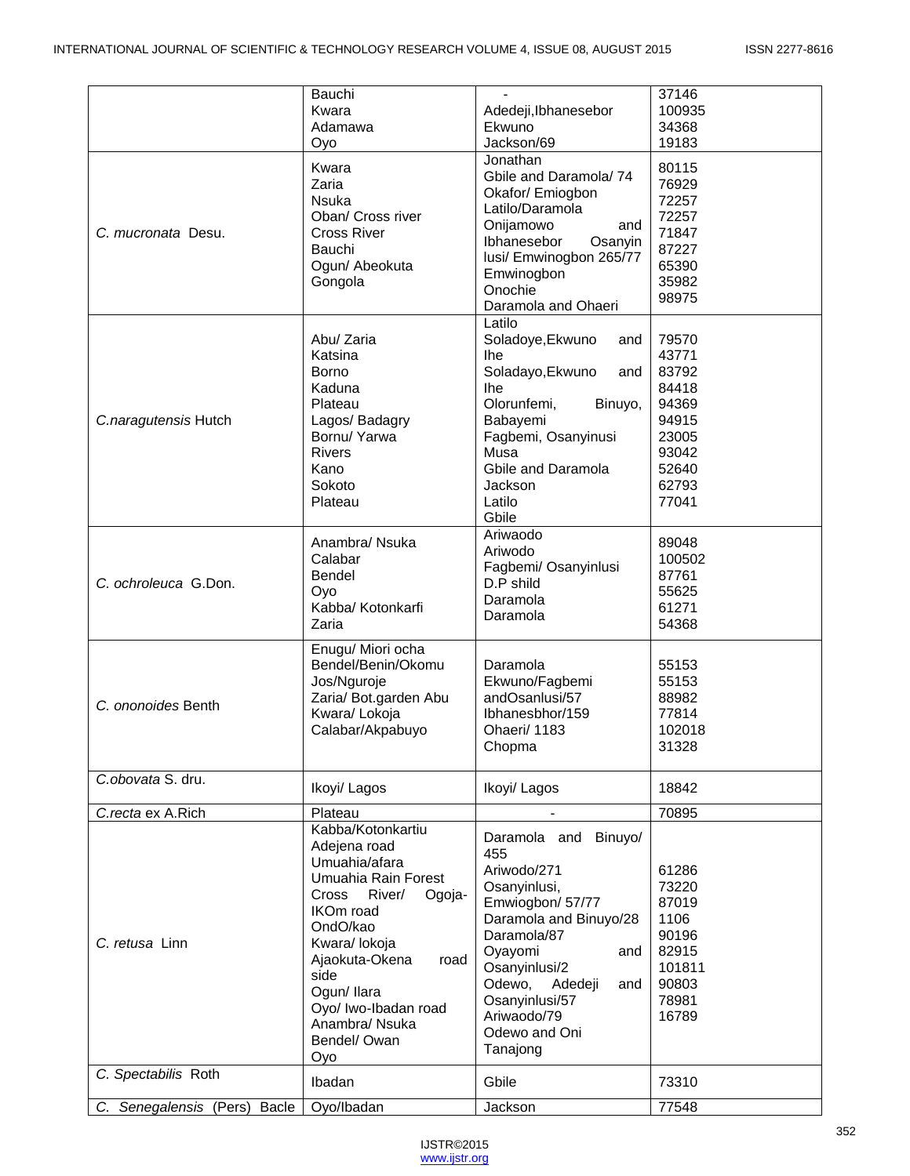| Bauchi<br>Kwara<br>Adamawa   |                                                                                                                                                                                                                                                                          | Adedeji, Ibhanesebor<br>Ekwuno                                                                                                                                                                                                                       | 37146<br>100935<br>34368                                                                        |
|------------------------------|--------------------------------------------------------------------------------------------------------------------------------------------------------------------------------------------------------------------------------------------------------------------------|------------------------------------------------------------------------------------------------------------------------------------------------------------------------------------------------------------------------------------------------------|-------------------------------------------------------------------------------------------------|
|                              | Oyo                                                                                                                                                                                                                                                                      | Jackson/69                                                                                                                                                                                                                                           | 19183                                                                                           |
| C. mucronata Desu.           | Kwara<br>Zaria<br><b>Nsuka</b><br>Oban/ Cross river<br><b>Cross River</b><br>Bauchi<br>Ogun/ Abeokuta<br>Gongola                                                                                                                                                         | Jonathan<br>Gbile and Daramola/74<br>Okafor/ Emiogbon<br>Latilo/Daramola<br>Onijamowo<br>and<br>Ibhanesebor<br>Osanyin<br>lusi/ Emwinogbon 265/77<br>Emwinogbon<br>Onochie<br>Daramola and Ohaeri                                                    | 80115<br>76929<br>72257<br>72257<br>71847<br>87227<br>65390<br>35982<br>98975                   |
| C.naragutensis Hutch         | Abu/ Zaria<br>Katsina<br>Borno<br>Kaduna<br>Plateau<br>Lagos/ Badagry<br>Bornu/ Yarwa<br>Rivers<br>Kano<br>Sokoto<br>Plateau                                                                                                                                             | Latilo<br>Soladoye, Ekwuno<br>and<br><b>Ihe</b><br>Soladayo, Ekwuno<br>and<br><b>Ihe</b><br>Olorunfemi,<br>Binuyo,<br>Babayemi<br>Fagbemi, Osanyinusi<br>Musa<br>Gbile and Daramola<br><b>Jackson</b><br>Latilo<br>Gbile                             | 79570<br>43771<br>83792<br>84418<br>94369<br>94915<br>23005<br>93042<br>52640<br>62793<br>77041 |
| C. ochroleuca G.Don.         | Anambra/ Nsuka<br>Calabar<br><b>Bendel</b><br>Oyo<br>Kabba/ Kotonkarfi<br>Zaria                                                                                                                                                                                          | Ariwaodo<br>Ariwodo<br>Fagbemi/ Osanyinlusi<br>D.P shild<br>Daramola<br>Daramola                                                                                                                                                                     | 89048<br>100502<br>87761<br>55625<br>61271<br>54368                                             |
| C. ononoides Benth           | Enugu/ Miori ocha<br>Bendel/Benin/Okomu<br>Jos/Nguroje<br>Zaria/ Bot.garden Abu<br>Kwara/ Lokoja<br>Calabar/Akpabuyo                                                                                                                                                     | Daramola<br>Ekwuno/Fagbemi<br>andOsanlusi/57<br>Ibhanesbhor/159<br>Ohaeri/ 1183<br>Chopma                                                                                                                                                            | 55153<br>55153<br>88982<br>77814<br>102018<br>31328                                             |
| C.obovata S. dru.            | Ikoyi/ Lagos                                                                                                                                                                                                                                                             | Ikoyi/ Lagos                                                                                                                                                                                                                                         | 18842                                                                                           |
| C.recta ex A.Rich            | Plateau                                                                                                                                                                                                                                                                  |                                                                                                                                                                                                                                                      | 70895                                                                                           |
| C. retusa Linn               | Kabba/Kotonkartiu<br>Adejena road<br>Umuahia/afara<br>Umuahia Rain Forest<br>River/<br>Cross<br>Ogoja-<br><b>IKOm</b> road<br>OndO/kao<br>Kwara/ lokoja<br>Ajaokuta-Okena<br>road<br>side<br>Ogun/Ilara<br>Oyo/ Iwo-Ibadan road<br>Anambra/ Nsuka<br>Bendel/ Owan<br>Oyo | Daramola and Binuyo/<br>455<br>Ariwodo/271<br>Osanyinlusi,<br>Emwiogbon/ 57/77<br>Daramola and Binuyo/28<br>Daramola/87<br>Oyayomi<br>and<br>Osanyinlusi/2<br>Odewo,<br>Adedeji<br>and<br>Osanyinlusi/57<br>Ariwaodo/79<br>Odewo and Oni<br>Tanajong | 61286<br>73220<br>87019<br>1106<br>90196<br>82915<br>101811<br>90803<br>78981<br>16789          |
| C. Spectabilis Roth          | Ibadan                                                                                                                                                                                                                                                                   | Gbile                                                                                                                                                                                                                                                | 73310                                                                                           |
| C. Senegalensis (Pers) Bacle | Oyo/Ibadan                                                                                                                                                                                                                                                               | Jackson                                                                                                                                                                                                                                              | 77548                                                                                           |

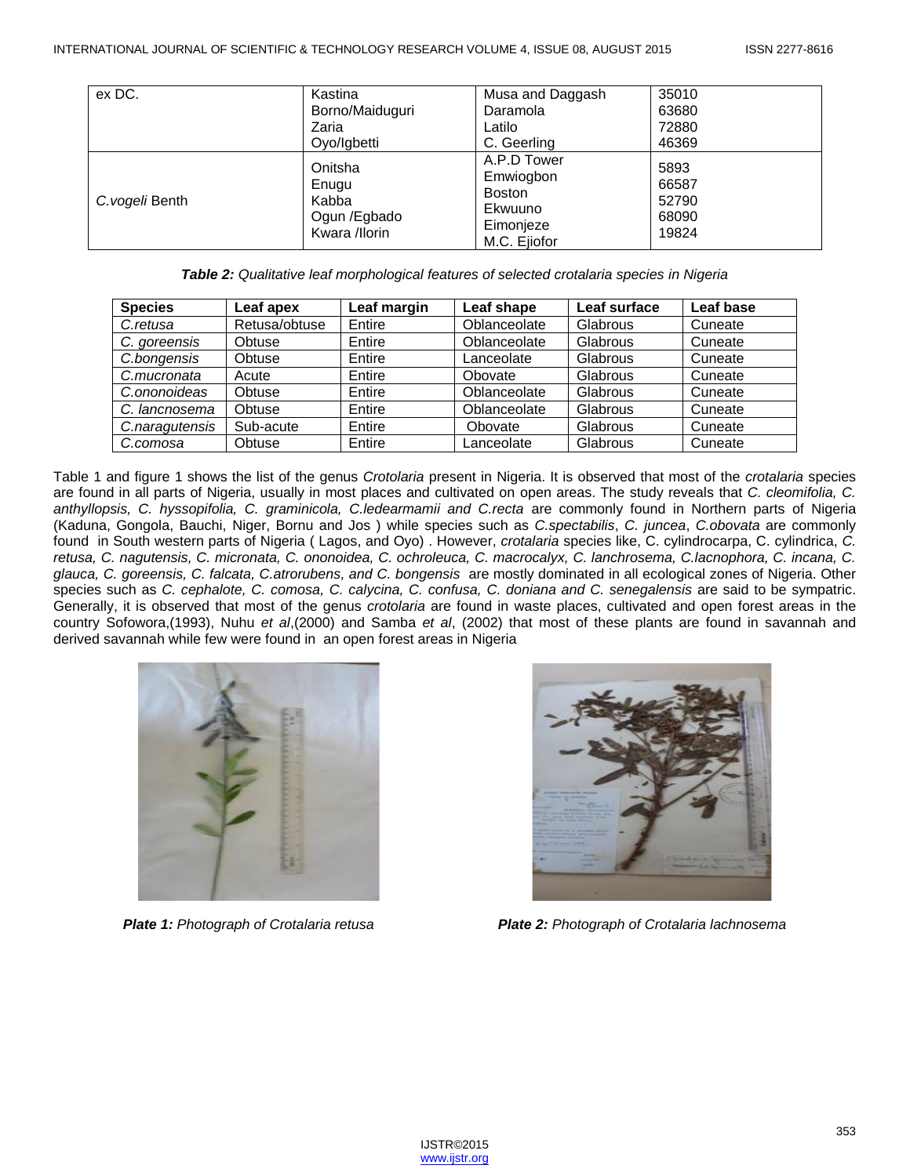| ex DC.          | Kastina<br>Borno/Maiduguri<br>Zaria                        | Musa and Daggash<br>Daramola<br>Latilo                                     | 35010<br>63680<br>72880                  |
|-----------------|------------------------------------------------------------|----------------------------------------------------------------------------|------------------------------------------|
|                 | Oyo/Igbetti                                                | C. Geerling                                                                | 46369                                    |
| C. vogeli Benth | Onitsha<br>Enugu<br>Kabba<br>Ogun /Egbado<br>Kwara /llorin | A.P.D Tower<br>Emwiogbon<br>Boston<br>Ekwuuno<br>Eimonjeze<br>M.C. Ejiofor | 5893<br>66587<br>52790<br>68090<br>19824 |

*Table 2: Qualitative leaf morphological features of selected crotalaria species in Nigeria*

| <b>Species</b> | Leaf apex     | Leaf margin | Leaf shape   | Leaf surface | Leaf base |
|----------------|---------------|-------------|--------------|--------------|-----------|
| C.retusa       | Retusa/obtuse | Entire      | Oblanceolate | Glabrous     | Cuneate   |
| C. goreensis   | Obtuse        | Entire      | Oblanceolate | Glabrous     | Cuneate   |
| C.bongensis    | Obtuse        | Entire      | Lanceolate   | Glabrous     | Cuneate   |
| C.mucronata    | Acute         | Entire      | Obovate      | Glabrous     | Cuneate   |
| C.ononoideas   | Obtuse        | Entire      | Oblanceolate | Glabrous     | Cuneate   |
| C. lancnosema  | Obtuse        | Entire      | Oblanceolate | Glabrous     | Cuneate   |
| C.naragutensis | Sub-acute     | Entire      | Obovate      | Glabrous     | Cuneate   |
| C.comosa       | Obtuse        | Entire      | Lanceolate   | Glabrous     | Cuneate   |

Table 1 and figure 1 shows the list of the genus *Crotolaria* present in Nigeria. It is observed that most of the *crotalaria* species are found in all parts of Nigeria, usually in most places and cultivated on open areas. The study reveals that *C. cleomifolia, C. anthyllopsis, C. hyssopifolia, C. graminicola, C.ledearmamii and C.recta* are commonly found in Northern parts of Nigeria (Kaduna, Gongola, Bauchi, Niger, Bornu and Jos ) while species such as *C.spectabilis*, *C. juncea*, *C.obovata* are commonly found in South western parts of Nigeria ( Lagos, and Oyo) . However, *crotalaria* species like, C. cylindrocarpa, C. cylindrica, *C. retusa, C. nagutensis, C. micronata, C. ononoidea, C. ochroleuca, C. macrocalyx, C. lanchrosema, C.lacnophora, C. incana, C. glauca, C. goreensis, C. falcata, C.atrorubens, and C. bongensis* are mostly dominated in all ecological zones of Nigeria. Other species such as *C. cephalote, C. comosa, C. calycina, C. confusa, C. doniana and C. senegalensis* are said to be sympatric. Generally, it is observed that most of the genus *crotolaria* are found in waste places, cultivated and open forest areas in the country Sofowora,(1993), Nuhu *et al*,(2000) and Samba *et al*, (2002) that most of these plants are found in savannah and derived savannah while few were found in an open forest areas in Nigeria





*Plate 1: Photograph of Crotalaria retusa Plate 2: Photograph of Crotalaria lachnosema*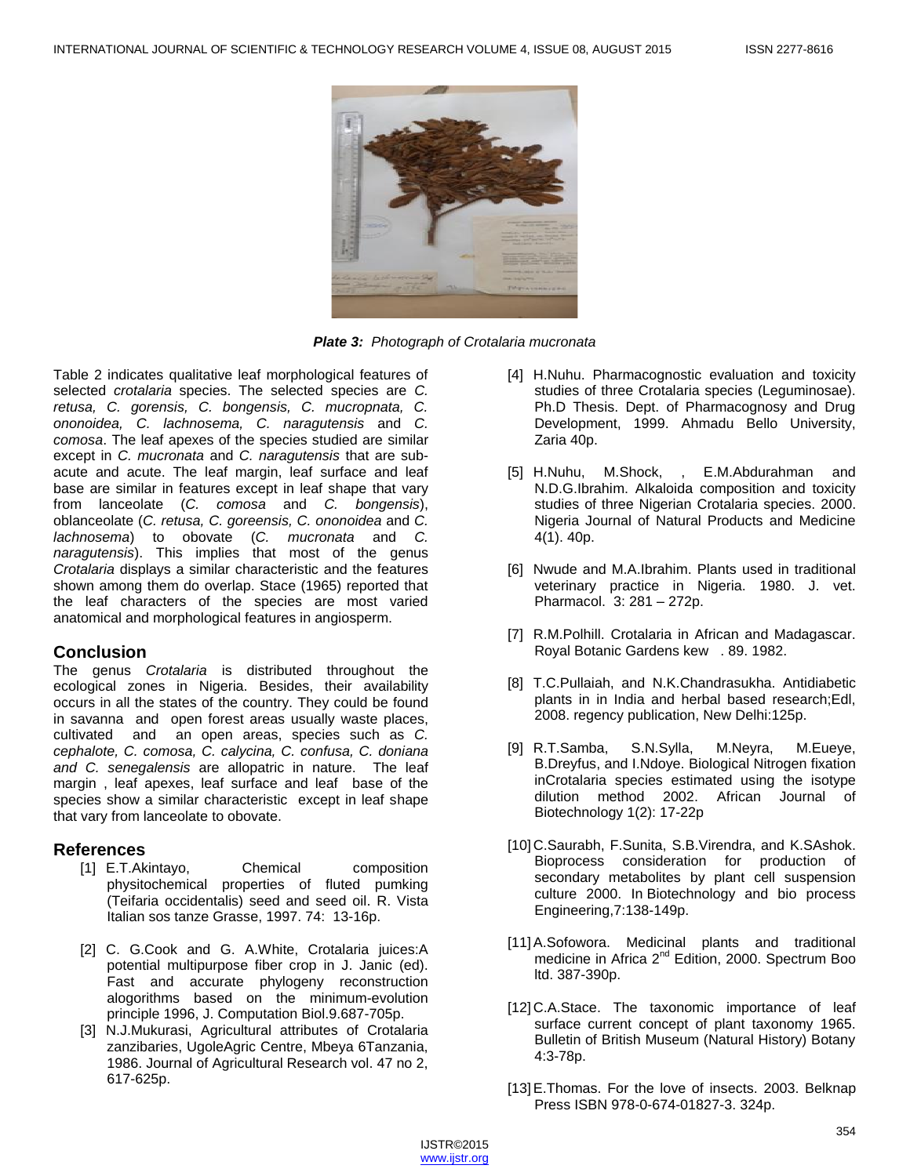

*Plate 3: Photograph of Crotalaria mucronata*

Table 2 indicates qualitative leaf morphological features of selected *crotalaria* species. The selected species are *C. retusa, C. gorensis, C. bongensis, C. mucropnata, C. ononoidea, C. lachnosema, C. naragutensis* and *C. comosa*. The leaf apexes of the species studied are similar except in *C. mucronata* and *C. naragutensis* that are subacute and acute. The leaf margin, leaf surface and leaf base are similar in features except in leaf shape that vary from lanceolate (*C. comosa* and *C. bongensis*), oblanceolate (*C. retusa, C. goreensis, C. ononoidea* and *C. lachnosema*) to obovate (*C. mucronata* and *C. naragutensis*). This implies that most of the genus *Crotalaria* displays a similar characteristic and the features shown among them do overlap. Stace (1965) reported that the leaf characters of the species are most varied anatomical and morphological features in angiosperm.

## **Conclusion**

The genus *Crotalaria* is distributed throughout the ecological zones in Nigeria. Besides, their availability occurs in all the states of the country. They could be found in savanna and open forest areas usually waste places, cultivated and an open areas, species such as *C. cephalote, C. comosa, C. calycina, C. confusa, C. doniana and C. senegalensis* are allopatric in nature. The leaf margin , leaf apexes, leaf surface and leaf base of the species show a similar characteristic except in leaf shape that vary from lanceolate to obovate.

## **References**

- [1] E.T.Akintayo, Chemical composition physitochemical properties of fluted pumking (Teifaria occidentalis) seed and seed oil. R. Vista Italian sos tanze Grasse, 1997. 74: 13-16p.
- [2] C. G.Cook and G. A.White, Crotalaria juices:A potential multipurpose fiber crop in J. Janic (ed). Fast and accurate phylogeny reconstruction alogorithms based on the minimum-evolution principle 1996, J. Computation Biol.9.687-705p.
- [3] N.J.Mukurasi, Agricultural attributes of Crotalaria zanzibaries, UgoleAgric Centre, Mbeya 6Tanzania, 1986. Journal of Agricultural Research vol. 47 no 2, 617-625p.
- [4] H.Nuhu. Pharmacognostic evaluation and toxicity studies of three Crotalaria species (Leguminosae). Ph.D Thesis. Dept. of Pharmacognosy and Drug Development, 1999. Ahmadu Bello University, Zaria 40p.
- [5] H.Nuhu, M.Shock, , E.M.Abdurahman and N.D.G.Ibrahim. Alkaloida composition and toxicity studies of three Nigerian Crotalaria species. 2000. Nigeria Journal of Natural Products and Medicine 4(1). 40p.
- [6] Nwude and M.A.Ibrahim. Plants used in traditional veterinary practice in Nigeria. 1980. J. vet. Pharmacol. 3: 281 – 272p.
- [7] R.M.Polhill. Crotalaria in African and Madagascar. Royal Botanic Gardens kew . 89. 1982.
- [8] T.C.Pullaiah, and N.K.Chandrasukha. Antidiabetic plants in in India and herbal based research;Edl, 2008. regency publication, New Delhi:125p.
- [9] R.T.Samba, S.N.Sylla, M.Neyra, M.Eueye, B.Dreyfus, and I.Ndoye. Biological Nitrogen fixation inCrotalaria species estimated using the isotype dilution method 2002. African Journal of Biotechnology 1(2): 17-22p
- [10] C.Saurabh, F.Sunita, S.B. Virendra, and K.SAshok. Bioprocess consideration for production of secondary metabolites by plant cell suspension culture 2000. In Biotechnology and bio process Engineering,7:138-149p.
- [11]A.Sofowora. Medicinal plants and traditional medicine in Africa 2<sup>nd</sup> Edition, 2000. Spectrum Boo ltd. 387-390p.
- [12] C.A.Stace. The taxonomic importance of leaf surface current concept of plant taxonomy 1965. Bulletin of British Museum (Natural History) Botany 4:3-78p.
- [13] E. Thomas. For the love of insects. 2003. Belknap Press ISBN 978-0-674-01827-3. 324p.